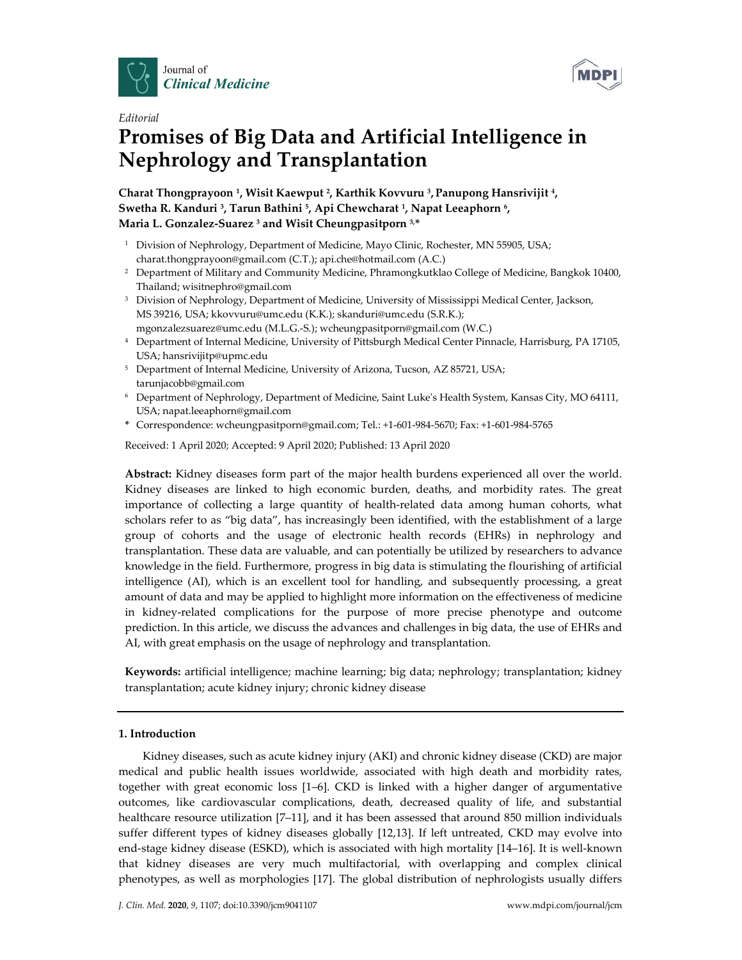



## *Editorial*

# **Promises of Big Data and Artificial Intelligence in Nephrology and Transplantation**

**Charat Thongprayoon 1, Wisit Kaewput 2, Karthik Kovvuru 3, Panupong Hansrivijit 4, Swetha R. Kanduri 3, Tarun Bathini 5, Api Chewcharat 1, Napat Leeaphorn 6, Maria L. Gonzalez-Suarez <sup>3</sup> and Wisit Cheungpasitporn 3, \***

- <sup>1</sup> Division of Nephrology, Department of Medicine, Mayo Clinic, Rochester, MN 55905, USA; charat.thongprayoon@gmail.com (C.T.); api.che@hotmail.com (A.C.)
- <sup>2</sup> Department of Military and Community Medicine, Phramongkutklao College of Medicine, Bangkok 10400, Thailand; wisitnephro@gmail.com
- <sup>3</sup> Division of Nephrology, Department of Medicine, University of Mississippi Medical Center, Jackson, MS 39216, USA; kkovvuru@umc.edu (K.K.); skanduri@umc.edu (S.R.K.); mgonzalezsuarez@umc.edu (M.L.G.-S.); wcheungpasitporn@gmail.com (W.C.)
- <sup>4</sup> Department of Internal Medicine, University of Pittsburgh Medical Center Pinnacle, Harrisburg, PA 17105, USA; hansrivijitp@upmc.edu
- <sup>5</sup> Department of Internal Medicine, University of Arizona, Tucson, AZ 85721, USA; tarunjacobb@gmail.com
- <sup>6</sup> Department of Nephrology, Department of Medicine, Saint Luke's Health System, Kansas City, MO 64111, USA; napat.leeaphorn@gmail.com
- **\*** Correspondence: wcheungpasitporn@gmail.com; Tel.: +1-601-984-5670; Fax: +1-601-984-5765

Received: 1 April 2020; Accepted: 9 April 2020; Published: 13 April 2020

**Abstract:** Kidney diseases form part of the major health burdens experienced all over the world. Kidney diseases are linked to high economic burden, deaths, and morbidity rates. The great importance of collecting a large quantity of health-related data among human cohorts, what scholars refer to as "big data", has increasingly been identified, with the establishment of a large group of cohorts and the usage of electronic health records (EHRs) in nephrology and transplantation. These data are valuable, and can potentially be utilized by researchers to advance knowledge in the field. Furthermore, progress in big data is stimulating the flourishing of artificial intelligence (AI), which is an excellent tool for handling, and subsequently processing, a great amount of data and may be applied to highlight more information on the effectiveness of medicine in kidney-related complications for the purpose of more precise phenotype and outcome prediction. In this article, we discuss the advances and challenges in big data, the use of EHRs and AI, with great emphasis on the usage of nephrology and transplantation.

**Keywords:** artificial intelligence; machine learning; big data; nephrology; transplantation; kidney transplantation; acute kidney injury; chronic kidney disease

## **1. Introduction**

Kidney diseases, such as acute kidney injury (AKI) and chronic kidney disease (CKD) are major medical and public health issues worldwide, associated with high death and morbidity rates, together with great economic loss [1–6]. CKD is linked with a higher danger of argumentative outcomes, like cardiovascular complications, death, decreased quality of life, and substantial healthcare resource utilization [7–11], and it has been assessed that around 850 million individuals suffer different types of kidney diseases globally [12,13]. If left untreated, CKD may evolve into end-stage kidney disease (ESKD), which is associated with high mortality [14–16]. It is well-known that kidney diseases are very much multifactorial, with overlapping and complex clinical phenotypes, as well as morphologies [17]. The global distribution of nephrologists usually differs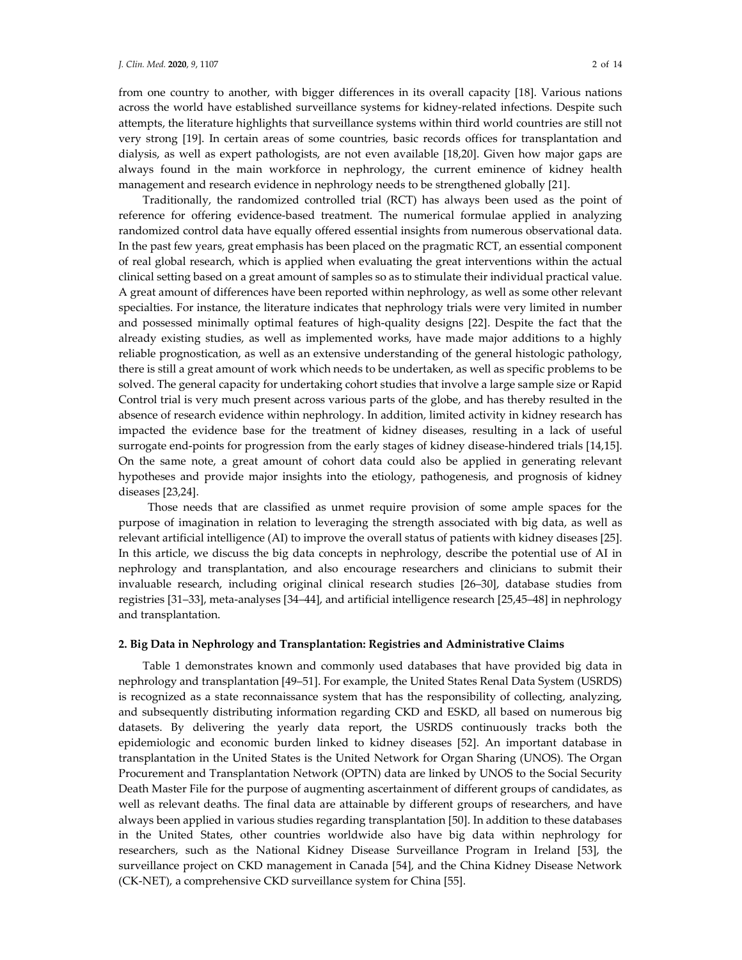from one country to another, with bigger differences in its overall capacity [18]. Various nations across the world have established surveillance systems for kidney-related infections. Despite such attempts, the literature highlights that surveillance systems within third world countries are still not very strong [19]. In certain areas of some countries, basic records offices for transplantation and dialysis, as well as expert pathologists, are not even available [18,20]. Given how major gaps are always found in the main workforce in nephrology, the current eminence of kidney health management and research evidence in nephrology needs to be strengthened globally [21].

Traditionally, the randomized controlled trial (RCT) has always been used as the point of reference for offering evidence-based treatment. The numerical formulae applied in analyzing randomized control data have equally offered essential insights from numerous observational data. In the past few years, great emphasis has been placed on the pragmatic RCT, an essential component of real global research, which is applied when evaluating the great interventions within the actual clinical setting based on a great amount of samples so as to stimulate their individual practical value. A great amount of differences have been reported within nephrology, as well as some other relevant specialties. For instance, the literature indicates that nephrology trials were very limited in number and possessed minimally optimal features of high-quality designs [22]. Despite the fact that the already existing studies, as well as implemented works, have made major additions to a highly reliable prognostication, as well as an extensive understanding of the general histologic pathology, there is still a great amount of work which needs to be undertaken, as well as specific problems to be solved. The general capacity for undertaking cohort studies that involve a large sample size or Rapid Control trial is very much present across various parts of the globe, and has thereby resulted in the absence of research evidence within nephrology. In addition, limited activity in kidney research has impacted the evidence base for the treatment of kidney diseases, resulting in a lack of useful surrogate end-points for progression from the early stages of kidney disease-hindered trials [14,15]. On the same note, a great amount of cohort data could also be applied in generating relevant hypotheses and provide major insights into the etiology, pathogenesis, and prognosis of kidney diseases [23,24].

Those needs that are classified as unmet require provision of some ample spaces for the purpose of imagination in relation to leveraging the strength associated with big data, as well as relevant artificial intelligence (AI) to improve the overall status of patients with kidney diseases [25]. In this article, we discuss the big data concepts in nephrology, describe the potential use of AI in nephrology and transplantation, and also encourage researchers and clinicians to submit their invaluable research, including original clinical research studies [26–30], database studies from registries [31–33], meta-analyses [34–44], and artificial intelligence research [25,45–48] in nephrology and transplantation.

#### **2. Big Data in Nephrology and Transplantation: Registries and Administrative Claims**

Table 1 demonstrates known and commonly used databases that have provided big data in nephrology and transplantation [49–51]. For example, the United States Renal Data System (USRDS) is recognized as a state reconnaissance system that has the responsibility of collecting, analyzing, and subsequently distributing information regarding CKD and ESKD, all based on numerous big datasets. By delivering the yearly data report, the USRDS continuously tracks both the epidemiologic and economic burden linked to kidney diseases [52]. An important database in transplantation in the United States is the United Network for Organ Sharing (UNOS). The Organ Procurement and Transplantation Network (OPTN) data are linked by UNOS to the Social Security Death Master File for the purpose of augmenting ascertainment of different groups of candidates, as well as relevant deaths. The final data are attainable by different groups of researchers, and have always been applied in various studies regarding transplantation [50]. In addition to these databases in the United States, other countries worldwide also have big data within nephrology for researchers, such as the National Kidney Disease Surveillance Program in Ireland [53], the surveillance project on CKD management in Canada [54], and the China Kidney Disease Network (CK-NET), a comprehensive CKD surveillance system for China [55].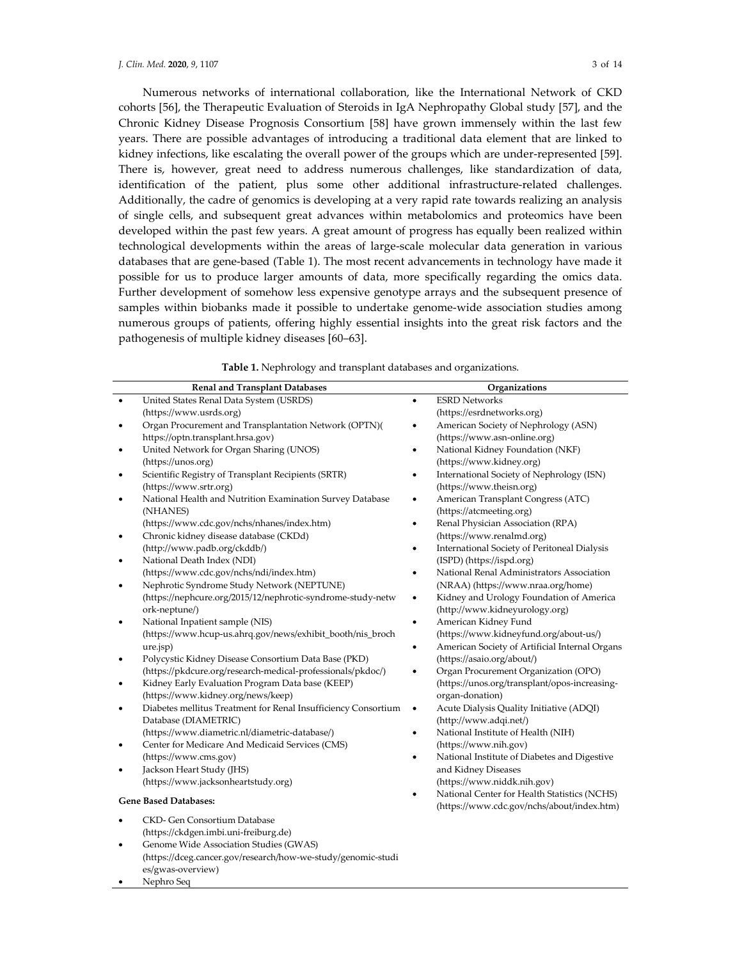es/gwas-overview) Nephro Seq

Numerous networks of international collaboration, like the International Network of CKD cohorts [56], the Therapeutic Evaluation of Steroids in IgA Nephropathy Global study [57], and the Chronic Kidney Disease Prognosis Consortium [58] have grown immensely within the last few years. There are possible advantages of introducing a traditional data element that are linked to kidney infections, like escalating the overall power of the groups which are under-represented [59]. There is, however, great need to address numerous challenges, like standardization of data, identification of the patient, plus some other additional infrastructure-related challenges. Additionally, the cadre of genomics is developing at a very rapid rate towards realizing an analysis of single cells, and subsequent great advances within metabolomics and proteomics have been developed within the past few years. A great amount of progress has equally been realized within technological developments within the areas of large-scale molecular data generation in various databases that are gene-based (Table 1). The most recent advancements in technology have made it possible for us to produce larger amounts of data, more specifically regarding the omics data. Further development of somehow less expensive genotype arrays and the subsequent presence of samples within biobanks made it possible to undertake genome-wide association studies among numerous groups of patients, offering highly essential insights into the great risk factors and the pathogenesis of multiple kidney diseases [60–63].

|  |  | Table 1. Nephrology and transplant databases and organizations. |
|--|--|-----------------------------------------------------------------|
|--|--|-----------------------------------------------------------------|

|                              | <b>Renal and Transplant Databases</b>                          |           | Organizations                                  |
|------------------------------|----------------------------------------------------------------|-----------|------------------------------------------------|
|                              | United States Renal Data System (USRDS)                        | $\bullet$ | <b>ESRD Networks</b>                           |
|                              | (https://www.usrds.org)                                        |           | (https://esrdnetworks.org)                     |
|                              | Organ Procurement and Transplantation Network (OPTN)(          |           | American Society of Nephrology (ASN)           |
|                              | https://optn.transplant.hrsa.gov)                              |           | (https://www.asn-online.org)                   |
|                              | United Network for Organ Sharing (UNOS)                        | $\bullet$ | National Kidney Foundation (NKF)               |
|                              | (https://unos.org)                                             |           | (https://www.kidney.org)                       |
|                              | Scientific Registry of Transplant Recipients (SRTR)            |           | International Society of Nephrology (ISN)      |
|                              | (https://www.srtr.org)                                         |           | (https://www.theisn.org)                       |
|                              | National Health and Nutrition Examination Survey Database      | $\bullet$ | American Transplant Congress (ATC)             |
|                              | (NHANES)                                                       |           | (https://atcmeeting.org)                       |
|                              | (https://www.cdc.gov/nchs/nhanes/index.htm)                    | $\bullet$ | Renal Physician Association (RPA)              |
|                              | Chronic kidney disease database (CKDd)                         |           | (https://www.renalmd.org)                      |
|                              | (http://www.padb.org/ckddb/)                                   |           | International Society of Peritoneal Dialysis   |
|                              | National Death Index (NDI)                                     |           | (ISPD) (https://ispd.org)                      |
|                              | (https://www.cdc.gov/nchs/ndi/index.htm)                       | $\bullet$ | National Renal Administrators Association      |
|                              | Nephrotic Syndrome Study Network (NEPTUNE)                     |           | (NRAA) (https://www.nraa.org/home)             |
|                              | (https://nephcure.org/2015/12/nephrotic-syndrome-study-netw    | $\bullet$ | Kidney and Urology Foundation of America       |
|                              | ork-neptune/)                                                  |           | (http://www.kidneyurology.org)                 |
|                              | National Inpatient sample (NIS)                                | $\bullet$ | American Kidney Fund                           |
|                              | (https://www.hcup-us.ahrq.gov/news/exhibit_booth/nis_broch     |           | (https://www.kidneyfund.org/about-us/)         |
|                              | ure.jsp)                                                       | $\bullet$ | American Society of Artificial Internal Organs |
|                              | Polycystic Kidney Disease Consortium Data Base (PKD)           |           | (https://asaio.org/about/)                     |
|                              | (https://pkdcure.org/research-medical-professionals/pkdoc/)    | $\bullet$ | Organ Procurement Organization (OPO)           |
|                              | Kidney Early Evaluation Program Data base (KEEP)               |           | (https://unos.org/transplant/opos-increasing-  |
|                              | (https://www.kidney.org/news/keep)                             |           | organ-donation)                                |
|                              | Diabetes mellitus Treatment for Renal Insufficiency Consortium | $\bullet$ | Acute Dialysis Quality Initiative (ADQI)       |
|                              | Database (DIAMETRIC)                                           |           | (http://www.adqi.net/)                         |
|                              | (https://www.diametric.nl/diametric-database/)                 | $\bullet$ | National Institute of Health (NIH)             |
|                              | Center for Medicare And Medicaid Services (CMS)                |           | (https://www.nih.gov)                          |
|                              | (https://www.cms.gov)                                          |           | National Institute of Diabetes and Digestive   |
|                              | Jackson Heart Study (JHS)                                      |           | and Kidney Diseases                            |
|                              | (https://www.jacksonheartstudy.org)                            |           | (https://www.niddk.nih.gov)                    |
| <b>Gene Based Databases:</b> |                                                                |           | National Center for Health Statistics (NCHS)   |
|                              |                                                                |           | (https://www.cdc.gov/nchs/about/index.htm)     |
|                              | CKD- Gen Consortium Database                                   |           |                                                |
|                              | (https://ckdgen.imbi.uni-freiburg.de)                          |           |                                                |
|                              | Genome Wide Association Studies (GWAS)                         |           |                                                |
|                              | (https://dceg.cancer.gov/research/how-we-study/genomic-studi   |           |                                                |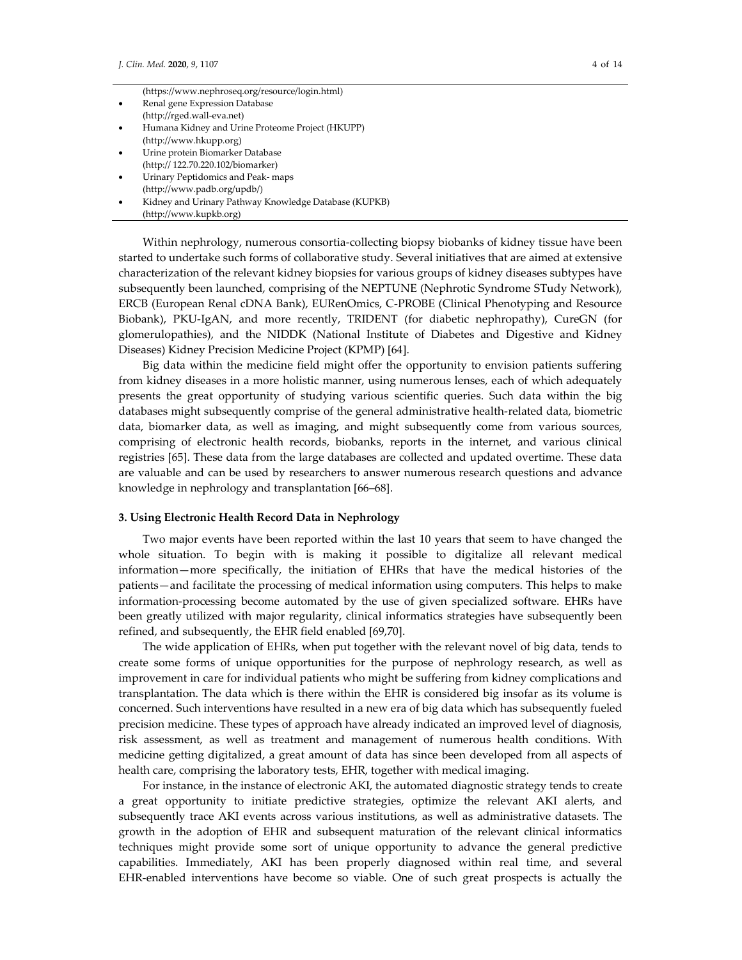| (https://www.nephroseq.org/resource/login.html) |  |  |  |  |
|-------------------------------------------------|--|--|--|--|
|-------------------------------------------------|--|--|--|--|

- Renal gene Expression Database
- (http://rged.wall-eva.net)
- Humana Kidney and Urine Proteome Project (HKUPP) (http://www.hkupp.org)
- Urine protein Biomarker Database (http:// 122.70.220.102/biomarker)
- Urinary Peptidomics and Peak- maps
- (http://www.padb.org/updb/)
- Kidney and Urinary Pathway Knowledge Database (KUPKB)
- (http://www.kupkb.org)

Within nephrology, numerous consortia-collecting biopsy biobanks of kidney tissue have been started to undertake such forms of collaborative study. Several initiatives that are aimed at extensive characterization of the relevant kidney biopsies for various groups of kidney diseases subtypes have subsequently been launched, comprising of the NEPTUNE (Nephrotic Syndrome STudy Network), ERCB (European Renal cDNA Bank), EURenOmics, C-PROBE (Clinical Phenotyping and Resource Biobank), PKU-IgAN, and more recently, TRIDENT (for diabetic nephropathy), CureGN (for glomerulopathies), and the NIDDK (National Institute of Diabetes and Digestive and Kidney Diseases) Kidney Precision Medicine Project (KPMP) [64].

Big data within the medicine field might offer the opportunity to envision patients suffering from kidney diseases in a more holistic manner, using numerous lenses, each of which adequately presents the great opportunity of studying various scientific queries. Such data within the big databases might subsequently comprise of the general administrative health-related data, biometric data, biomarker data, as well as imaging, and might subsequently come from various sources, comprising of electronic health records, biobanks, reports in the internet, and various clinical registries [65]. These data from the large databases are collected and updated overtime. These data are valuable and can be used by researchers to answer numerous research questions and advance knowledge in nephrology and transplantation [66–68].

#### **3. Using Electronic Health Record Data in Nephrology**

Two major events have been reported within the last 10 years that seem to have changed the whole situation. To begin with is making it possible to digitalize all relevant medical information—more specifically, the initiation of EHRs that have the medical histories of the patients—and facilitate the processing of medical information using computers. This helps to make information-processing become automated by the use of given specialized software. EHRs have been greatly utilized with major regularity, clinical informatics strategies have subsequently been refined, and subsequently, the EHR field enabled [69,70].

The wide application of EHRs, when put together with the relevant novel of big data, tends to create some forms of unique opportunities for the purpose of nephrology research, as well as improvement in care for individual patients who might be suffering from kidney complications and transplantation. The data which is there within the EHR is considered big insofar as its volume is concerned. Such interventions have resulted in a new era of big data which has subsequently fueled precision medicine. These types of approach have already indicated an improved level of diagnosis, risk assessment, as well as treatment and management of numerous health conditions. With medicine getting digitalized, a great amount of data has since been developed from all aspects of health care, comprising the laboratory tests, EHR, together with medical imaging.

For instance, in the instance of electronic AKI, the automated diagnostic strategy tends to create a great opportunity to initiate predictive strategies, optimize the relevant AKI alerts, and subsequently trace AKI events across various institutions, as well as administrative datasets. The growth in the adoption of EHR and subsequent maturation of the relevant clinical informatics techniques might provide some sort of unique opportunity to advance the general predictive capabilities. Immediately, AKI has been properly diagnosed within real time, and several EHR-enabled interventions have become so viable. One of such great prospects is actually the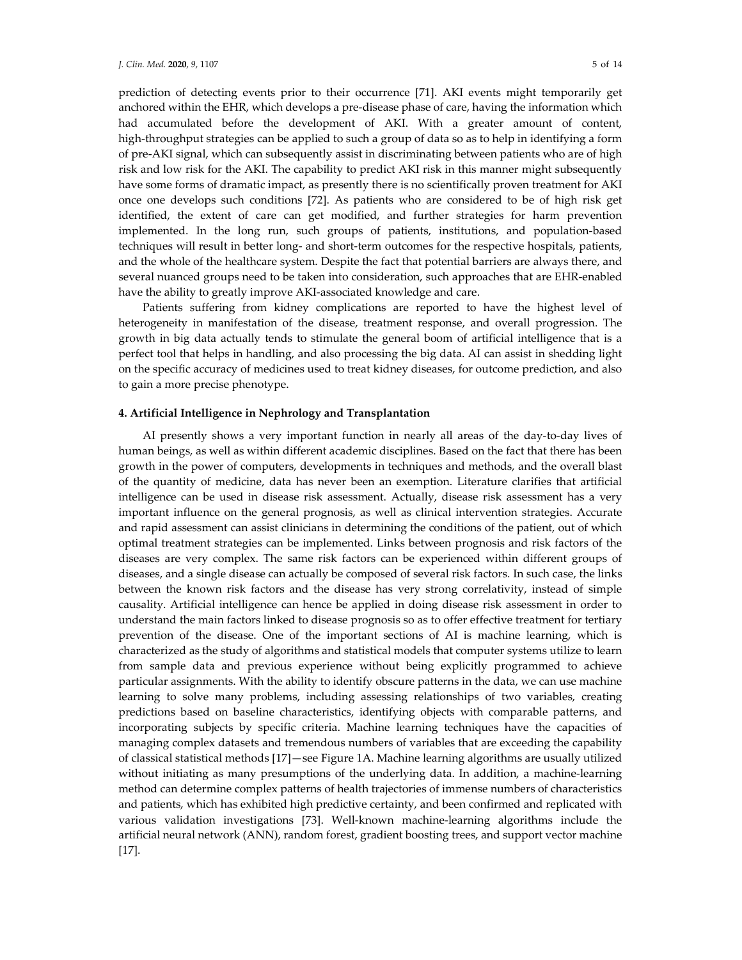prediction of detecting events prior to their occurrence [71]. AKI events might temporarily get anchored within the EHR, which develops a pre-disease phase of care, having the information which had accumulated before the development of AKI. With a greater amount of content, high-throughput strategies can be applied to such a group of data so as to help in identifying a form of pre-AKI signal, which can subsequently assist in discriminating between patients who are of high risk and low risk for the AKI. The capability to predict AKI risk in this manner might subsequently have some forms of dramatic impact, as presently there is no scientifically proven treatment for AKI once one develops such conditions [72]. As patients who are considered to be of high risk get identified, the extent of care can get modified, and further strategies for harm prevention implemented. In the long run, such groups of patients, institutions, and population-based techniques will result in better long- and short-term outcomes for the respective hospitals, patients, and the whole of the healthcare system. Despite the fact that potential barriers are always there, and several nuanced groups need to be taken into consideration, such approaches that are EHR-enabled have the ability to greatly improve AKI-associated knowledge and care.

Patients suffering from kidney complications are reported to have the highest level of heterogeneity in manifestation of the disease, treatment response, and overall progression. The growth in big data actually tends to stimulate the general boom of artificial intelligence that is a perfect tool that helps in handling, and also processing the big data. AI can assist in shedding light on the specific accuracy of medicines used to treat kidney diseases, for outcome prediction, and also to gain a more precise phenotype.

## **4. Artificial Intelligence in Nephrology and Transplantation**

AI presently shows a very important function in nearly all areas of the day-to-day lives of human beings, as well as within different academic disciplines. Based on the fact that there has been growth in the power of computers, developments in techniques and methods, and the overall blast of the quantity of medicine, data has never been an exemption. Literature clarifies that artificial intelligence can be used in disease risk assessment. Actually, disease risk assessment has a very important influence on the general prognosis, as well as clinical intervention strategies. Accurate and rapid assessment can assist clinicians in determining the conditions of the patient, out of which optimal treatment strategies can be implemented. Links between prognosis and risk factors of the diseases are very complex. The same risk factors can be experienced within different groups of diseases, and a single disease can actually be composed of several risk factors. In such case, the links between the known risk factors and the disease has very strong correlativity, instead of simple causality. Artificial intelligence can hence be applied in doing disease risk assessment in order to understand the main factors linked to disease prognosis so as to offer effective treatment for tertiary prevention of the disease. One of the important sections of AI is machine learning, which is characterized as the study of algorithms and statistical models that computer systems utilize to learn from sample data and previous experience without being explicitly programmed to achieve particular assignments. With the ability to identify obscure patterns in the data, we can use machine learning to solve many problems, including assessing relationships of two variables, creating predictions based on baseline characteristics, identifying objects with comparable patterns, and incorporating subjects by specific criteria. Machine learning techniques have the capacities of managing complex datasets and tremendous numbers of variables that are exceeding the capability of classical statistical methods [17]—see Figure 1A. Machine learning algorithms are usually utilized without initiating as many presumptions of the underlying data. In addition, a machine-learning method can determine complex patterns of health trajectories of immense numbers of characteristics and patients, which has exhibited high predictive certainty, and been confirmed and replicated with various validation investigations [73]. Well-known machine-learning algorithms include the artificial neural network (ANN), random forest, gradient boosting trees, and support vector machine [17].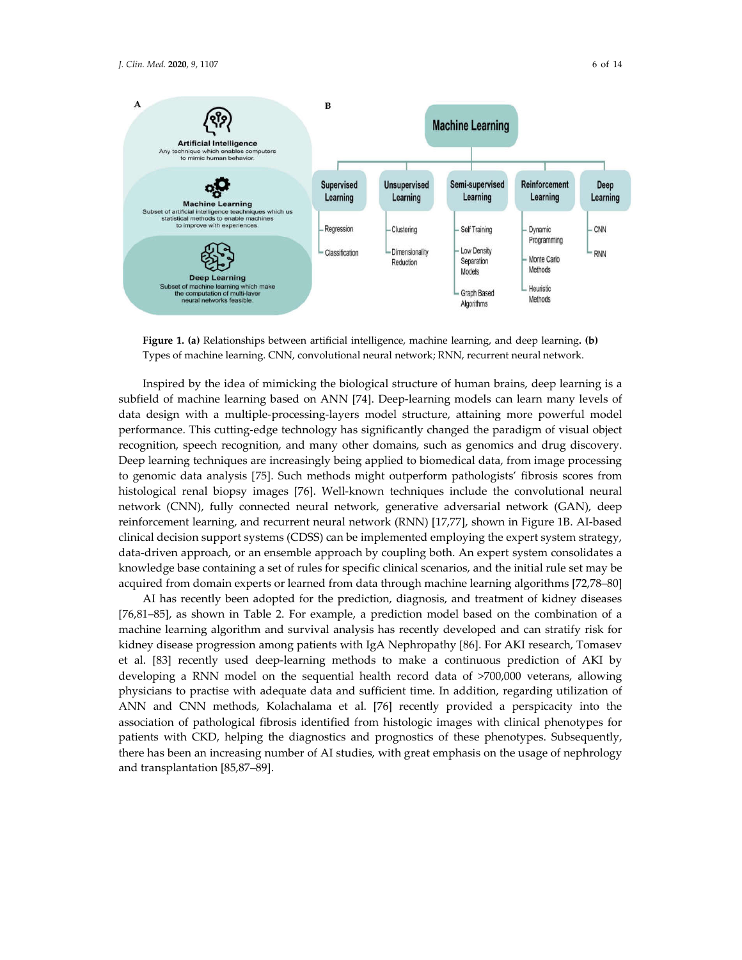

**Figure 1. (a)** Relationships between artificial intelligence, machine learning, and deep learning**. (b)** Types of machine learning. CNN, convolutional neural network; RNN, recurrent neural network.

Inspired by the idea of mimicking the biological structure of human brains, deep learning is a subfield of machine learning based on ANN [74]. Deep-learning models can learn many levels of data design with a multiple-processing-layers model structure, attaining more powerful model performance. This cutting-edge technology has significantly changed the paradigm of visual object recognition, speech recognition, and many other domains, such as genomics and drug discovery. Deep learning techniques are increasingly being applied to biomedical data, from image processing to genomic data analysis [75]. Such methods might outperform pathologists' fibrosis scores from histological renal biopsy images [76]. Well-known techniques include the convolutional neural network (CNN), fully connected neural network, generative adversarial network (GAN), deep reinforcement learning, and recurrent neural network (RNN) [17,77], shown in Figure 1B. AI-based clinical decision support systems (CDSS) can be implemented employing the expert system strategy, data-driven approach, or an ensemble approach by coupling both. An expert system consolidates a knowledge base containing a set of rules for specific clinical scenarios, and the initial rule set may be acquired from domain experts or learned from data through machine learning algorithms [72,78–80]

AI has recently been adopted for the prediction, diagnosis, and treatment of kidney diseases [76,81–85], as shown in Table 2. For example, a prediction model based on the combination of a machine learning algorithm and survival analysis has recently developed and can stratify risk for kidney disease progression among patients with IgA Nephropathy [86]. For AKI research, Tomasev et al. [83] recently used deep-learning methods to make a continuous prediction of AKI by developing a RNN model on the sequential health record data of >700,000 veterans, allowing physicians to practise with adequate data and sufficient time. In addition, regarding utilization of ANN and CNN methods, Kolachalama et al. [76] recently provided a perspicacity into the association of pathological fibrosis identified from histologic images with clinical phenotypes for patients with CKD, helping the diagnostics and prognostics of these phenotypes. Subsequently, there has been an increasing number of AI studies, with great emphasis on the usage of nephrology and transplantation [85,87–89].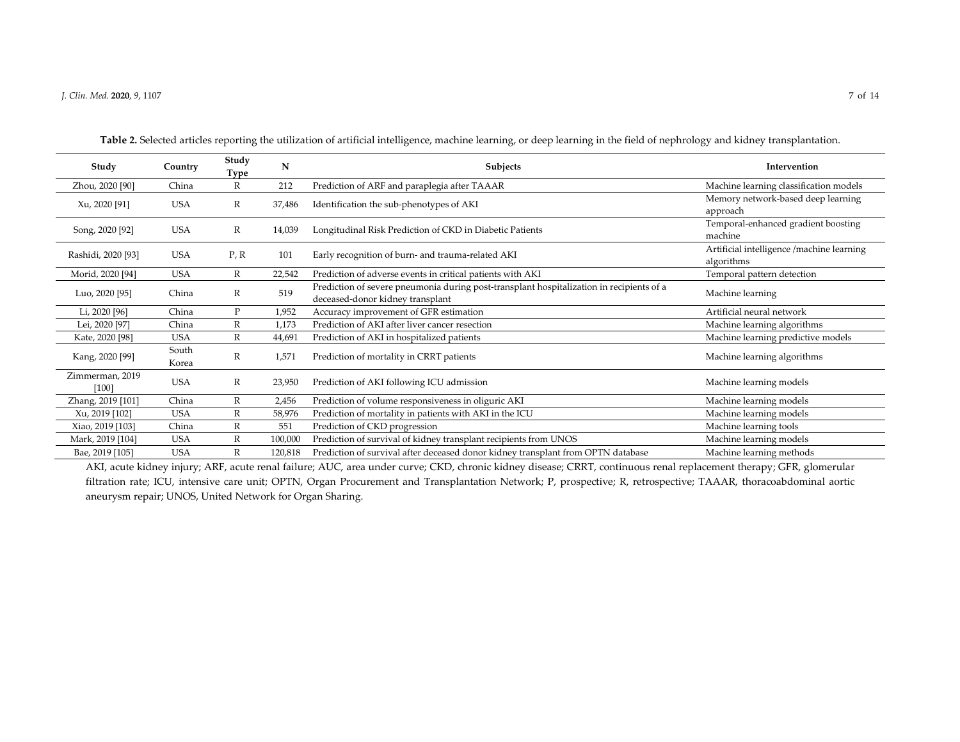| Study                      | Country        | Study<br>Type | N       | <b>Subjects</b>                                                                                                              | Intervention                                            |
|----------------------------|----------------|---------------|---------|------------------------------------------------------------------------------------------------------------------------------|---------------------------------------------------------|
| Zhou, 2020 [90]            | China          | R             | 212     | Prediction of ARF and paraplegia after TAAAR                                                                                 | Machine learning classification models                  |
| Xu, 2020 [91]              | <b>USA</b>     | R             | 37,486  | Identification the sub-phenotypes of AKI                                                                                     | Memory network-based deep learning<br>approach          |
| Song, 2020 [92]            | <b>USA</b>     | $\mathbb R$   | 14,039  | Longitudinal Risk Prediction of CKD in Diabetic Patients                                                                     | Temporal-enhanced gradient boosting<br>machine          |
| Rashidi, 2020 [93]         | <b>USA</b>     | P, R          | 101     | Early recognition of burn- and trauma-related AKI                                                                            | Artificial intelligence /machine learning<br>algorithms |
| Morid, 2020 [94]           | <b>USA</b>     | R             | 22,542  | Prediction of adverse events in critical patients with AKI                                                                   | Temporal pattern detection                              |
| Luo, 2020 [95]             | China          | $\mathbb{R}$  | 519     | Prediction of severe pneumonia during post-transplant hospitalization in recipients of a<br>deceased-donor kidney transplant | Machine learning                                        |
| Li, 2020 [96]              | China          | P             | 1,952   | Accuracy improvement of GFR estimation                                                                                       | Artificial neural network                               |
| Lei, 2020 [97]             | China          | $\mathbb{R}$  | 1,173   | Prediction of AKI after liver cancer resection                                                                               | Machine learning algorithms                             |
| Kate, 2020 [98]            | <b>USA</b>     | $\mathbb R$   | 44,691  | Prediction of AKI in hospitalized patients                                                                                   | Machine learning predictive models                      |
| Kang, 2020 [99]            | South<br>Korea | R             | 1,571   | Prediction of mortality in CRRT patients                                                                                     | Machine learning algorithms                             |
| Zimmerman, 2019<br>$[100]$ | <b>USA</b>     | $\mathbb{R}$  | 23,950  | Prediction of AKI following ICU admission                                                                                    | Machine learning models                                 |
| Zhang, 2019 [101]          | China          | R             | 2,456   | Prediction of volume responsiveness in oliguric AKI                                                                          | Machine learning models                                 |
| Xu, 2019 [102]             | <b>USA</b>     | R             | 58,976  | Prediction of mortality in patients with AKI in the ICU                                                                      | Machine learning models                                 |
| Xiao, 2019 [103]           | China          | $\mathbb{R}$  | 551     | Prediction of CKD progression                                                                                                | Machine learning tools                                  |
| Mark, 2019 [104]           | <b>USA</b>     | $\mathbb{R}$  | 100,000 | Prediction of survival of kidney transplant recipients from UNOS                                                             | Machine learning models                                 |
| Bae, 2019 [105]            | <b>USA</b>     | R             | 120,818 | Prediction of survival after deceased donor kidney transplant from OPTN database                                             | Machine learning methods                                |

**Table 2.** Selected articles reporting the utilization of artificial intelligence, machine learning, or deep learning in the field of nephrology and kidney transplantation.

AKI, acute kidney injury; ARF, acute renal failure; AUC, area under curve; CKD, chronic kidney disease; CRRT, continuous renal replacement therapy; GFR, glomerular filtration rate; ICU, intensive care unit; OPTN, Organ Procurement and Transplantation Network; P, prospective; R, retrospective; TAAAR, thoracoabdominal aortic aneurysm repair; UNOS, United Network for Organ Sharing.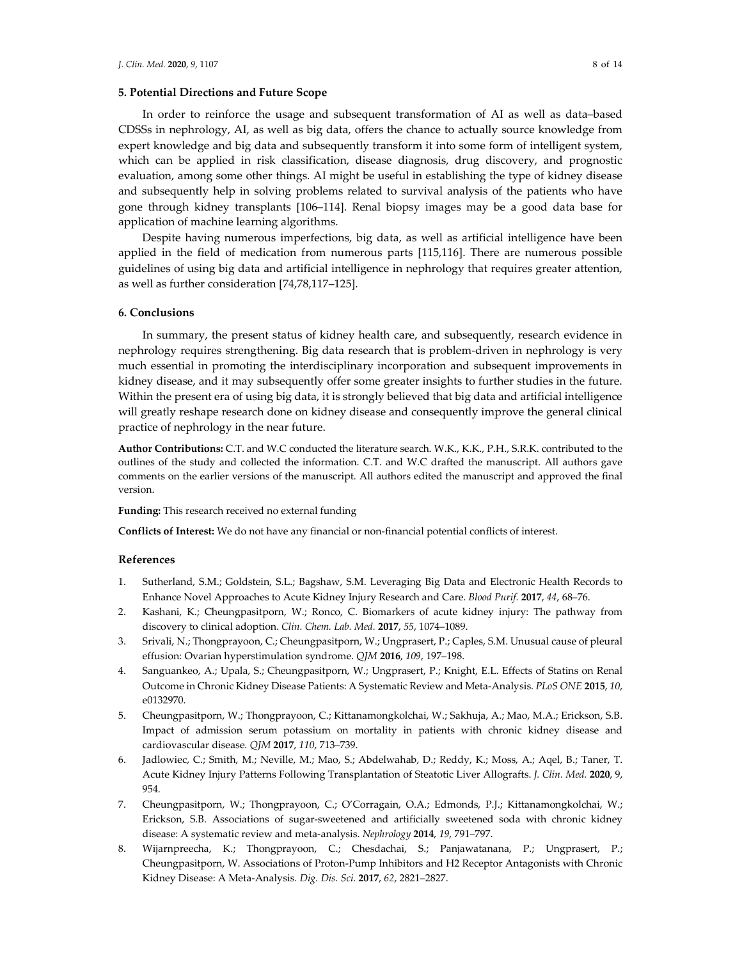### **5. Potential Directions and Future Scope**

In order to reinforce the usage and subsequent transformation of AI as well as data–based CDSSs in nephrology, AI, as well as big data, offers the chance to actually source knowledge from expert knowledge and big data and subsequently transform it into some form of intelligent system, which can be applied in risk classification, disease diagnosis, drug discovery, and prognostic evaluation, among some other things. AI might be useful in establishing the type of kidney disease and subsequently help in solving problems related to survival analysis of the patients who have gone through kidney transplants [106–114]. Renal biopsy images may be a good data base for application of machine learning algorithms.

Despite having numerous imperfections, big data, as well as artificial intelligence have been applied in the field of medication from numerous parts [115,116]. There are numerous possible guidelines of using big data and artificial intelligence in nephrology that requires greater attention, as well as further consideration [74,78,117–125].

#### **6. Conclusions**

In summary, the present status of kidney health care, and subsequently, research evidence in nephrology requires strengthening. Big data research that is problem-driven in nephrology is very much essential in promoting the interdisciplinary incorporation and subsequent improvements in kidney disease, and it may subsequently offer some greater insights to further studies in the future. Within the present era of using big data, it is strongly believed that big data and artificial intelligence will greatly reshape research done on kidney disease and consequently improve the general clinical practice of nephrology in the near future.

**Author Contributions:** C.T. and W.C conducted the literature search. W.K., K.K., P.H., S.R.K. contributed to the outlines of the study and collected the information. C.T. and W.C drafted the manuscript. All authors gave comments on the earlier versions of the manuscript. All authors edited the manuscript and approved the final version.

#### **Funding:** This research received no external funding

**Conflicts of Interest:** We do not have any financial or non-financial potential conflicts of interest.

#### **References**

- 1. Sutherland, S.M.; Goldstein, S.L.; Bagshaw, S.M. Leveraging Big Data and Electronic Health Records to Enhance Novel Approaches to Acute Kidney Injury Research and Care. *Blood Purif.* **2017**, *44*, 68–76.
- 2. Kashani, K.; Cheungpasitporn, W.; Ronco, C. Biomarkers of acute kidney injury: The pathway from discovery to clinical adoption. *Clin. Chem. Lab. Med.* **2017**, *55*, 1074–1089.
- 3. Srivali, N.; Thongprayoon, C.; Cheungpasitporn, W.; Ungprasert, P.; Caples, S.M. Unusual cause of pleural effusion: Ovarian hyperstimulation syndrome. *QJM* **2016**, *109*, 197–198.
- 4. Sanguankeo, A.; Upala, S.; Cheungpasitporn, W.; Ungprasert, P.; Knight, E.L. Effects of Statins on Renal Outcome in Chronic Kidney Disease Patients: A Systematic Review and Meta-Analysis. *PLoS ONE* **2015**, *10*, e0132970.
- 5. Cheungpasitporn, W.; Thongprayoon, C.; Kittanamongkolchai, W.; Sakhuja, A.; Mao, M.A.; Erickson, S.B. Impact of admission serum potassium on mortality in patients with chronic kidney disease and cardiovascular disease. *QJM* **2017**, *110*, 713–739.
- 6. Jadlowiec, C.; Smith, M.; Neville, M.; Mao, S.; Abdelwahab, D.; Reddy, K.; Moss, A.; Aqel, B.; Taner, T. Acute Kidney Injury Patterns Following Transplantation of Steatotic Liver Allografts. *J. Clin. Med.* **2020**, 9, 954.
- 7. Cheungpasitporn, W.; Thongprayoon, C.; O'Corragain, O.A.; Edmonds, P.J.; Kittanamongkolchai, W.; Erickson, S.B. Associations of sugar-sweetened and artificially sweetened soda with chronic kidney disease: A systematic review and meta-analysis. *Nephrology* **2014**, *19*, 791–797.
- 8. Wijarnpreecha, K.; Thongprayoon, C.; Chesdachai, S.; Panjawatanana, P.; Ungprasert, P.; Cheungpasitporn, W. Associations of Proton-Pump Inhibitors and H2 Receptor Antagonists with Chronic Kidney Disease: A Meta-Analysis*. Dig. Dis. Sci.* **2017**, *62*, 2821–2827.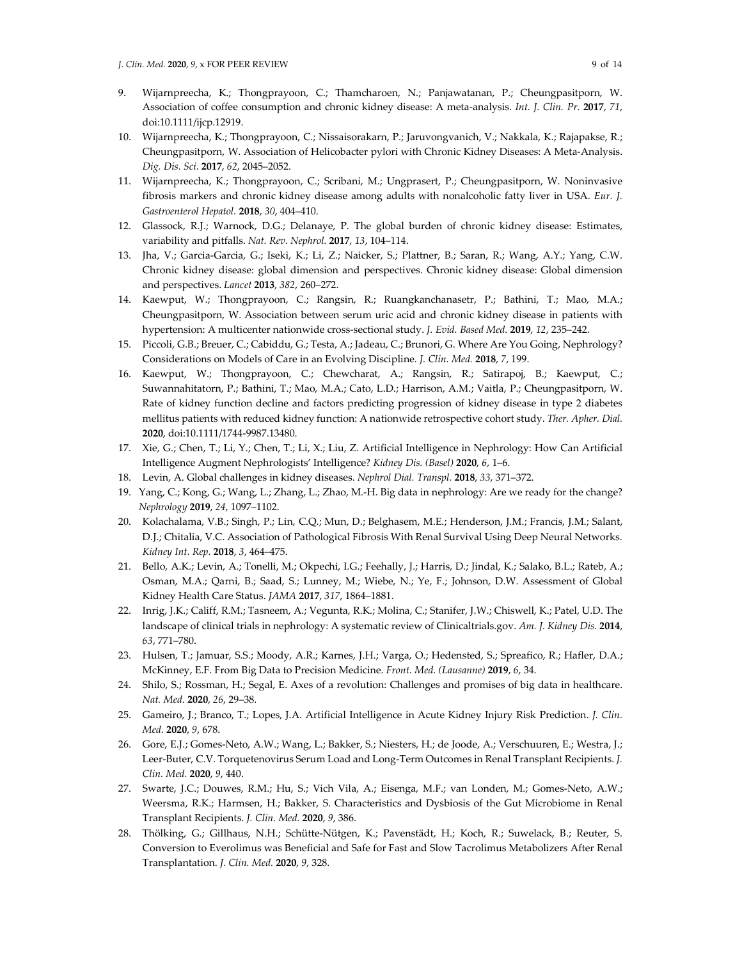- 9. Wijarnpreecha, K.; Thongprayoon, C.; Thamcharoen, N.; Panjawatanan, P.; Cheungpasitporn, W. Association of coffee consumption and chronic kidney disease: A meta-analysis. *Int. J. Clin. Pr.* **2017**, *71*, doi:10.1111/ijcp.12919.
- 10. Wijarnpreecha, K.; Thongprayoon, C.; Nissaisorakarn, P.; Jaruvongvanich, V.; Nakkala, K.; Rajapakse, R.; Cheungpasitporn, W. Association of Helicobacter pylori with Chronic Kidney Diseases: A Meta-Analysis. *Dig. Dis. Sci.* **2017**, *62*, 2045–2052.
- 11. Wijarnpreecha, K.; Thongprayoon, C.; Scribani, M.; Ungprasert, P.; Cheungpasitporn, W. Noninvasive fibrosis markers and chronic kidney disease among adults with nonalcoholic fatty liver in USA. *Eur. J. Gastroenterol Hepatol.* **2018**, *30*, 404–410.
- 12. Glassock, R.J.; Warnock, D.G.; Delanaye, P. The global burden of chronic kidney disease: Estimates, variability and pitfalls. *Nat. Rev. Nephrol.* **2017**, *13*, 104–114.
- 13. Jha, V.; Garcia-Garcia, G.; Iseki, K.; Li, Z.; Naicker, S.; Plattner, B.; Saran, R.; Wang, A.Y.; Yang, C.W. Chronic kidney disease: global dimension and perspectives. Chronic kidney disease: Global dimension and perspectives. *Lancet* **2013**, *382*, 260–272.
- 14. Kaewput, W.; Thongprayoon, C.; Rangsin, R.; Ruangkanchanasetr, P.; Bathini, T.; Mao, M.A.; Cheungpasitporn, W. Association between serum uric acid and chronic kidney disease in patients with hypertension: A multicenter nationwide cross-sectional study. *J. Evid. Based Med.* **2019**, *12*, 235–242.
- 15. Piccoli, G.B.; Breuer, C.; Cabiddu, G.; Testa, A.; Jadeau, C.; Brunori, G. Where Are You Going, Nephrology? Considerations on Models of Care in an Evolving Discipline. *J. Clin. Med.* **2018**, *7*, 199.
- 16. Kaewput, W.; Thongprayoon, C.; Chewcharat, A.; Rangsin, R.; Satirapoj, B.; Kaewput, C.; Suwannahitatorn, P.; Bathini, T.; Mao, M.A.; Cato, L.D.; Harrison, A.M.; Vaitla, P.; Cheungpasitporn, W. Rate of kidney function decline and factors predicting progression of kidney disease in type 2 diabetes mellitus patients with reduced kidney function: A nationwide retrospective cohort study. *Ther. Apher. Dial.*  **2020**, doi:10.1111/1744-9987.13480.
- 17. Xie, G.; Chen, T.; Li, Y.; Chen, T.; Li, X.; Liu, Z. Artificial Intelligence in Nephrology: How Can Artificial Intelligence Augment Nephrologists' Intelligence? *Kidney Dis. (Basel)* **2020**, *6*, 1–6.
- 18. Levin, A. Global challenges in kidney diseases. *Nephrol Dial. Transpl.* **2018**, *33*, 371–372.
- 19. Yang, C.; Kong, G.; Wang, L.; Zhang, L.; Zhao, M.-H. Big data in nephrology: Are we ready for the change? *Nephrology* **2019**, *24*, 1097–1102.
- 20. Kolachalama, V.B.; Singh, P.; Lin, C.Q.; Mun, D.; Belghasem, M.E.; Henderson, J.M.; Francis, J.M.; Salant, D.J.; Chitalia, V.C. Association of Pathological Fibrosis With Renal Survival Using Deep Neural Networks. *Kidney Int. Rep.* **2018**, *3*, 464–475.
- 21. Bello, A.K.; Levin, A.; Tonelli, M.; Okpechi, I.G.; Feehally, J.; Harris, D.; Jindal, K.; Salako, B.L.; Rateb, A.; Osman, M.A.; Qarni, B.; Saad, S.; Lunney, M.; Wiebe, N.; Ye, F.; Johnson, D.W. Assessment of Global Kidney Health Care Status. *JAMA* **2017**, *317*, 1864–1881.
- 22. Inrig, J.K.; Califf, R.M.; Tasneem, A.; Vegunta, R.K.; Molina, C.; Stanifer, J.W.; Chiswell, K.; Patel, U.D. The landscape of clinical trials in nephrology: A systematic review of Clinicaltrials.gov. *Am. J. Kidney Dis.* **2014**, *63*, 771–780.
- 23. Hulsen, T.; Jamuar, S.S.; Moody, A.R.; Karnes, J.H.; Varga, O.; Hedensted, S.; Spreafico, R.; Hafler, D.A.; McKinney, E.F. From Big Data to Precision Medicine. *Front. Med. (Lausanne)* **2019**, *6*, 34.
- 24. Shilo, S.; Rossman, H.; Segal, E. Axes of a revolution: Challenges and promises of big data in healthcare. *Nat. Med.* **2020**, *26*, 29–38.
- 25. Gameiro, J.; Branco, T.; Lopes, J.A. Artificial Intelligence in Acute Kidney Injury Risk Prediction. *J. Clin. Med.* **2020**, *9*, 678.
- 26. Gore, E.J.; Gomes-Neto, A.W.; Wang, L.; Bakker, S.; Niesters, H.; de Joode, A.; Verschuuren, E.; Westra, J.; Leer-Buter, C.V. Torquetenovirus Serum Load and Long-Term Outcomes in Renal Transplant Recipients. *J. Clin. Med.* **2020**, *9*, 440.
- 27. Swarte, J.C.; Douwes, R.M.; Hu, S.; Vich Vila, A.; Eisenga, M.F.; van Londen, M.; Gomes-Neto, A.W.; Weersma, R.K.; Harmsen, H.; Bakker, S. Characteristics and Dysbiosis of the Gut Microbiome in Renal Transplant Recipients. *J. Clin. Med.* **2020**, *9*, 386.
- 28. Thölking, G.; Gillhaus, N.H.; Schütte-Nütgen, K.; Pavenstädt, H.; Koch, R.; Suwelack, B.; Reuter, S. Conversion to Everolimus was Beneficial and Safe for Fast and Slow Tacrolimus Metabolizers After Renal Transplantation. *J. Clin. Med.* **2020**, *9*, 328.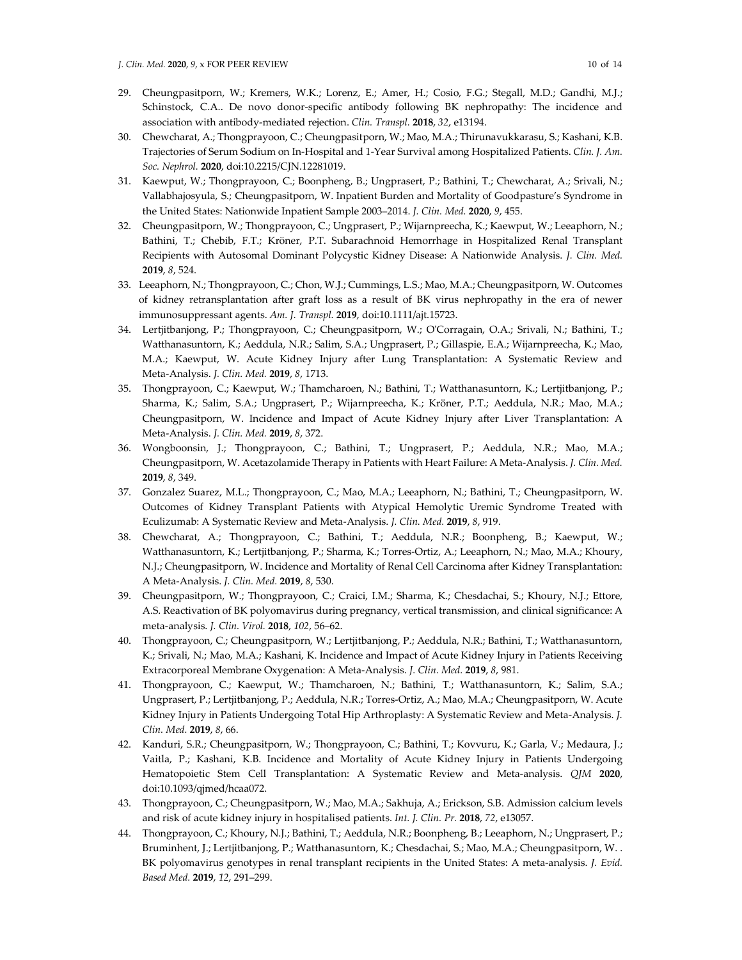- 29. Cheungpasitporn, W.; Kremers, W.K.; Lorenz, E.; Amer, H.; Cosio, F.G.; Stegall, M.D.; Gandhi, M.J.; Schinstock, C.A.. De novo donor-specific antibody following BK nephropathy: The incidence and association with antibody-mediated rejection. *Clin. Transpl.* **2018**, *32*, e13194.
- 30. Chewcharat, A.; Thongprayoon, C.; Cheungpasitporn, W.; Mao, M.A.; Thirunavukkarasu, S.; Kashani, K.B. Trajectories of Serum Sodium on In-Hospital and 1-Year Survival among Hospitalized Patients. *Clin. J. Am. Soc. Nephrol.* **2020**, doi:10.2215/CJN.12281019.
- 31. Kaewput, W.; Thongprayoon, C.; Boonpheng, B.; Ungprasert, P.; Bathini, T.; Chewcharat, A.; Srivali, N.; Vallabhajosyula, S.; Cheungpasitporn, W. Inpatient Burden and Mortality of Goodpasture's Syndrome in the United States: Nationwide Inpatient Sample 2003–2014. *J. Clin. Med.* **2020**, *9*, 455.
- 32. Cheungpasitporn, W.; Thongprayoon, C.; Ungprasert, P.; Wijarnpreecha, K.; Kaewput, W.; Leeaphorn, N.; Bathini, T.; Chebib, F.T.; Kröner, P.T. Subarachnoid Hemorrhage in Hospitalized Renal Transplant Recipients with Autosomal Dominant Polycystic Kidney Disease: A Nationwide Analysis. *J. Clin. Med.*  **2019**, *8*, 524.
- 33. Leeaphorn, N.; Thongprayoon, C.; Chon, W.J.; Cummings, L.S.; Mao, M.A.; Cheungpasitporn, W. Outcomes of kidney retransplantation after graft loss as a result of BK virus nephropathy in the era of newer immunosuppressant agents. *Am. J. Transpl.* **2019**, doi:10.1111/ajt.15723.
- 34. Lertjitbanjong, P.; Thongprayoon, C.; Cheungpasitporn, W.; O'Corragain, O.A.; Srivali, N.; Bathini, T.; Watthanasuntorn, K.; Aeddula, N.R.; Salim, S.A.; Ungprasert, P.; Gillaspie, E.A.; Wijarnpreecha, K.; Mao, M.A.; Kaewput, W. Acute Kidney Injury after Lung Transplantation: A Systematic Review and Meta-Analysis. *J. Clin. Med.* **2019**, *8*, 1713.
- 35. Thongprayoon, C.; Kaewput, W.; Thamcharoen, N.; Bathini, T.; Watthanasuntorn, K.; Lertjitbanjong, P.; Sharma, K.; Salim, S.A.; Ungprasert, P.; Wijarnpreecha, K.; Kröner, P.T.; Aeddula, N.R.; Mao, M.A.; Cheungpasitporn, W. Incidence and Impact of Acute Kidney Injury after Liver Transplantation: A Meta-Analysis. *J. Clin. Med.* **2019**, *8*, 372.
- 36. Wongboonsin, J.; Thongprayoon, C.; Bathini, T.; Ungprasert, P.; Aeddula, N.R.; Mao, M.A.; Cheungpasitporn, W. Acetazolamide Therapy in Patients with Heart Failure: A Meta-Analysis. *J. Clin. Med.*  **2019**, *8*, 349.
- 37. Gonzalez Suarez, M.L.; Thongprayoon, C.; Mao, M.A.; Leeaphorn, N.; Bathini, T.; Cheungpasitporn, W. Outcomes of Kidney Transplant Patients with Atypical Hemolytic Uremic Syndrome Treated with Eculizumab: A Systematic Review and Meta-Analysis. *J. Clin. Med.* **2019**, *8*, 919.
- 38. Chewcharat, A.; Thongprayoon, C.; Bathini, T.; Aeddula, N.R.; Boonpheng, B.; Kaewput, W.; Watthanasuntorn, K.; Lertjitbanjong, P.; Sharma, K.; Torres-Ortiz, A.; Leeaphorn, N.; Mao, M.A.; Khoury, N.J.; Cheungpasitporn, W. Incidence and Mortality of Renal Cell Carcinoma after Kidney Transplantation: A Meta-Analysis. *J. Clin. Med.* **2019**, *8*, 530.
- 39. Cheungpasitporn, W.; Thongprayoon, C.; Craici, I.M.; Sharma, K.; Chesdachai, S.; Khoury, N.J.; Ettore, A.S. Reactivation of BK polyomavirus during pregnancy, vertical transmission, and clinical significance: A meta-analysis. *J. Clin. Virol.* **2018**, *102*, 56–62.
- 40. Thongprayoon, C.; Cheungpasitporn, W.; Lertjitbanjong, P.; Aeddula, N.R.; Bathini, T.; Watthanasuntorn, K.; Srivali, N.; Mao, M.A.; Kashani, K. Incidence and Impact of Acute Kidney Injury in Patients Receiving Extracorporeal Membrane Oxygenation: A Meta-Analysis. *J. Clin. Med.* **2019**, *8*, 981.
- 41. Thongprayoon, C.; Kaewput, W.; Thamcharoen, N.; Bathini, T.; Watthanasuntorn, K.; Salim, S.A.; Ungprasert, P.; Lertjitbanjong, P.; Aeddula, N.R.; Torres-Ortiz, A.; Mao, M.A.; Cheungpasitporn, W. Acute Kidney Injury in Patients Undergoing Total Hip Arthroplasty: A Systematic Review and Meta-Analysis. *J. Clin. Med.* **2019**, *8*, 66.
- 42. Kanduri, S.R.; Cheungpasitporn, W.; Thongprayoon, C.; Bathini, T.; Kovvuru, K.; Garla, V.; Medaura, J.; Vaitla, P.; Kashani, K.B. Incidence and Mortality of Acute Kidney Injury in Patients Undergoing Hematopoietic Stem Cell Transplantation: A Systematic Review and Meta-analysis. *QJM* **2020**, doi:10.1093/qjmed/hcaa072.
- 43. Thongprayoon, C.; Cheungpasitporn, W.; Mao, M.A.; Sakhuja, A.; Erickson, S.B. Admission calcium levels and risk of acute kidney injury in hospitalised patients. *Int. J. Clin. Pr.* **2018**, *72*, e13057.
- 44. Thongprayoon, C.; Khoury, N.J.; Bathini, T.; Aeddula, N.R.; Boonpheng, B.; Leeaphorn, N.; Ungprasert, P.; Bruminhent, J.; Lertjitbanjong, P.; Watthanasuntorn, K.; Chesdachai, S.; Mao, M.A.; Cheungpasitporn, W. . BK polyomavirus genotypes in renal transplant recipients in the United States: A meta-analysis. *J. Evid. Based Med.* **2019**, *12*, 291–299.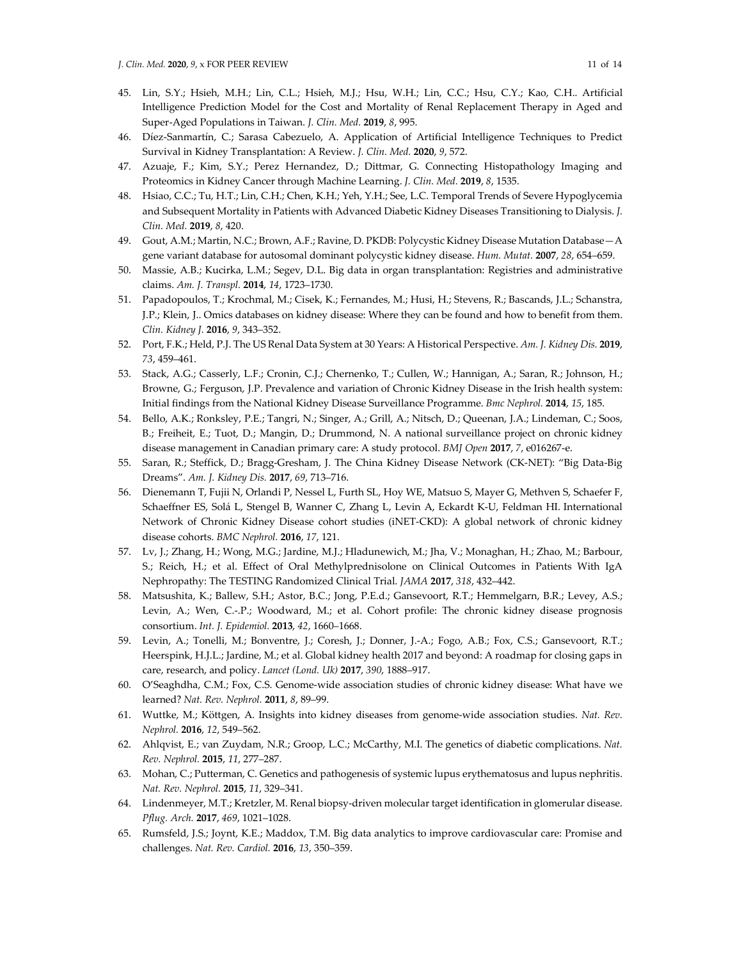- 45. Lin, S.Y.; Hsieh, M.H.; Lin, C.L.; Hsieh, M.J.; Hsu, W.H.; Lin, C.C.; Hsu, C.Y.; Kao, C.H.. Artificial Intelligence Prediction Model for the Cost and Mortality of Renal Replacement Therapy in Aged and Super-Aged Populations in Taiwan. *J. Clin. Med.* **2019**, *8*, 995.
- 46. Díez-Sanmartín, C.; Sarasa Cabezuelo, A. Application of Artificial Intelligence Techniques to Predict Survival in Kidney Transplantation: A Review. *J. Clin. Med.* **2020**, *9*, 572.
- 47. Azuaje, F.; Kim, S.Y.; Perez Hernandez, D.; Dittmar, G. Connecting Histopathology Imaging and Proteomics in Kidney Cancer through Machine Learning. *J. Clin. Med.* **2019**, *8*, 1535.
- 48. Hsiao, C.C.; Tu, H.T.; Lin, C.H.; Chen, K.H.; Yeh, Y.H.; See, L.C. Temporal Trends of Severe Hypoglycemia and Subsequent Mortality in Patients with Advanced Diabetic Kidney Diseases Transitioning to Dialysis. *J. Clin. Med.* **2019**, *8*, 420.
- 49. Gout, A.M.; Martin, N.C.; Brown, A.F.; Ravine, D. PKDB: Polycystic Kidney Disease Mutation Database—A gene variant database for autosomal dominant polycystic kidney disease. *Hum. Mutat.* **2007**, *28*, 654–659.
- 50. Massie, A.B.; Kucirka, L.M.; Segev, D.L. Big data in organ transplantation: Registries and administrative claims. *Am. J. Transpl.* **2014**, *14*, 1723–1730.
- 51. Papadopoulos, T.; Krochmal, M.; Cisek, K.; Fernandes, M.; Husi, H.; Stevens, R.; Bascands, J.L.; Schanstra, J.P.; Klein, J.. Omics databases on kidney disease: Where they can be found and how to benefit from them. *Clin. Kidney J.* **2016**, *9*, 343–352.
- 52. Port, F.K.; Held, P.J. The US Renal Data System at 30 Years: A Historical Perspective. *Am. J. Kidney Dis.* **2019**, *73*, 459–461.
- 53. Stack, A.G.; Casserly, L.F.; Cronin, C.J.; Chernenko, T.; Cullen, W.; Hannigan, A.; Saran, R.; Johnson, H.; Browne, G.; Ferguson, J.P. Prevalence and variation of Chronic Kidney Disease in the Irish health system: Initial findings from the National Kidney Disease Surveillance Programme. *Bmc Nephrol.* **2014**, *15*, 185.
- 54. Bello, A.K.; Ronksley, P.E.; Tangri, N.; Singer, A.; Grill, A.; Nitsch, D.; Queenan, J.A.; Lindeman, C.; Soos, B.; Freiheit, E.; Tuot, D.; Mangin, D.; Drummond, N. A national surveillance project on chronic kidney disease management in Canadian primary care: A study protocol. *BMJ Open* **2017**, *7*, e016267-e.
- 55. Saran, R.; Steffick, D.; Bragg-Gresham, J. The China Kidney Disease Network (CK-NET): "Big Data-Big Dreams". *Am. J. Kidney Dis.* **2017**, *69*, 713–716.
- 56. Dienemann T, Fujii N, Orlandi P, Nessel L, Furth SL, Hoy WE, Matsuo S, Mayer G, Methven S, Schaefer F, Schaeffner ES, Solá L, Stengel B, Wanner C, Zhang L, Levin A, Eckardt K-U, Feldman HI. International Network of Chronic Kidney Disease cohort studies (iNET-CKD): A global network of chronic kidney disease cohorts. *BMC Nephrol.* **2016**, *17*, 121.
- 57. Lv, J.; Zhang, H.; Wong, M.G.; Jardine, M.J.; Hladunewich, M.; Jha, V.; Monaghan, H.; Zhao, M.; Barbour, S.; Reich, H.; et al. Effect of Oral Methylprednisolone on Clinical Outcomes in Patients With IgA Nephropathy: The TESTING Randomized Clinical Trial. *JAMA* **2017**, *318*, 432–442.
- 58. Matsushita, K.; Ballew, S.H.; Astor, B.C.; Jong, P.E.d.; Gansevoort, R.T.; Hemmelgarn, B.R.; Levey, A.S.; Levin, A.; Wen, C.-.P.; Woodward, M.; et al. Cohort profile: The chronic kidney disease prognosis consortium. *Int. J. Epidemiol.* **2013**, *42*, 1660–1668.
- 59. Levin, A.; Tonelli, M.; Bonventre, J.; Coresh, J.; Donner, J.-A.; Fogo, A.B.; Fox, C.S.; Gansevoort, R.T.; Heerspink, H.J.L.; Jardine, M.; et al. Global kidney health 2017 and beyond: A roadmap for closing gaps in care, research, and policy. *Lancet (Lond. Uk)* **2017**, *390*, 1888–917.
- 60. O'Seaghdha, C.M.; Fox, C.S. Genome-wide association studies of chronic kidney disease: What have we learned? *Nat. Rev. Nephrol.* **2011**, *8*, 89–99.
- 61. Wuttke, M.; Köttgen, A. Insights into kidney diseases from genome-wide association studies. *Nat. Rev. Nephrol.* **2016**, *12*, 549–562.
- 62. Ahlqvist, E.; van Zuydam, N.R.; Groop, L.C.; McCarthy, M.I. The genetics of diabetic complications. *Nat. Rev. Nephrol.* **2015**, *11*, 277–287.
- 63. Mohan, C.; Putterman, C. Genetics and pathogenesis of systemic lupus erythematosus and lupus nephritis. *Nat. Rev. Nephrol.* **2015**, *11*, 329–341.
- 64. Lindenmeyer, M.T.; Kretzler, M. Renal biopsy-driven molecular target identification in glomerular disease. *Pflug. Arch.* **2017**, *469*, 1021–1028.
- 65. Rumsfeld, J.S.; Joynt, K.E.; Maddox, T.M. Big data analytics to improve cardiovascular care: Promise and challenges. *Nat. Rev. Cardiol.* **2016**, *13*, 350–359.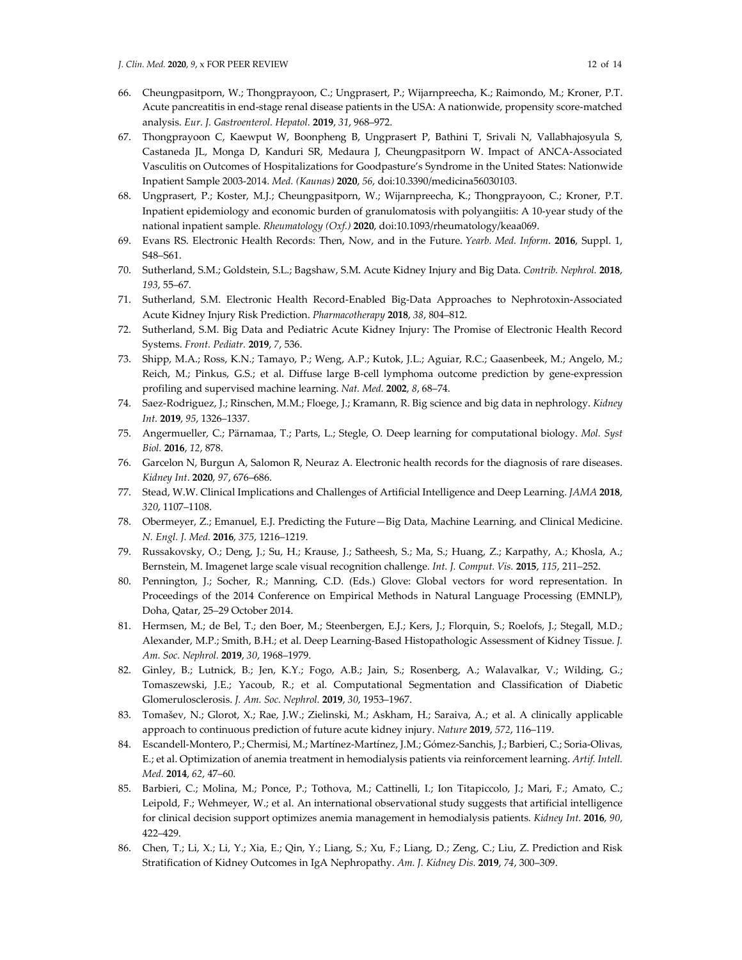- 66. Cheungpasitporn, W.; Thongprayoon, C.; Ungprasert, P.; Wijarnpreecha, K.; Raimondo, M.; Kroner, P.T. Acute pancreatitis in end-stage renal disease patients in the USA: A nationwide, propensity score-matched analysis. *Eur. J. Gastroenterol. Hepatol.* **2019**, *31*, 968–972.
- 67. Thongprayoon C, Kaewput W, Boonpheng B, Ungprasert P, Bathini T, Srivali N, Vallabhajosyula S, Castaneda JL, Monga D, Kanduri SR, Medaura J, Cheungpasitporn W. Impact of ANCA-Associated Vasculitis on Outcomes of Hospitalizations for Goodpasture's Syndrome in the United States: Nationwide Inpatient Sample 2003-2014. *Med. (Kaunas)* **2020**, *56*, doi:10.3390/medicina56030103.
- 68. Ungprasert, P.; Koster, M.J.; Cheungpasitporn, W.; Wijarnpreecha, K.; Thongprayoon, C.; Kroner, P.T. Inpatient epidemiology and economic burden of granulomatosis with polyangiitis: A 10-year study of the national inpatient sample. *Rheumatology (Oxf.)* **2020**, doi:10.1093/rheumatology/keaa069.
- 69. Evans RS. Electronic Health Records: Then, Now, and in the Future. *Yearb. Med. Inform*. **2016**, Suppl. 1, S48–S61.
- 70. Sutherland, S.M.; Goldstein, S.L.; Bagshaw, S.M. Acute Kidney Injury and Big Data. *Contrib. Nephrol.* **2018**, *193*, 55–67.
- 71. Sutherland, S.M. Electronic Health Record-Enabled Big-Data Approaches to Nephrotoxin-Associated Acute Kidney Injury Risk Prediction. *Pharmacotherapy* **2018**, *38*, 804–812.
- 72. Sutherland, S.M. Big Data and Pediatric Acute Kidney Injury: The Promise of Electronic Health Record Systems. *Front. Pediatr.* **2019**, *7*, 536.
- 73. Shipp, M.A.; Ross, K.N.; Tamayo, P.; Weng, A.P.; Kutok, J.L.; Aguiar, R.C.; Gaasenbeek, M.; Angelo, M.; Reich, M.; Pinkus, G.S.; et al. Diffuse large B-cell lymphoma outcome prediction by gene-expression profiling and supervised machine learning. *Nat. Med.* **2002**, *8*, 68–74.
- 74. Saez-Rodriguez, J.; Rinschen, M.M.; Floege, J.; Kramann, R. Big science and big data in nephrology. *Kidney Int.* **2019**, *95*, 1326–1337.
- 75. Angermueller, C.; Pärnamaa, T.; Parts, L.; Stegle, O. Deep learning for computational biology. *Mol. Syst Biol.* **2016**, *12*, 878.
- 76. Garcelon N, Burgun A, Salomon R, Neuraz A. Electronic health records for the diagnosis of rare diseases. *Kidney Int*. **2020**, *97*, 676–686.
- 77. Stead, W.W. Clinical Implications and Challenges of Artificial Intelligence and Deep Learning. *JAMA* **2018**, *320*, 1107–1108.
- 78. Obermeyer, Z.; Emanuel, E.J. Predicting the Future—Big Data, Machine Learning, and Clinical Medicine. *N. Engl. J. Med.* **2016**, *375*, 1216–1219.
- 79. Russakovsky, O.; Deng, J.; Su, H.; Krause, J.; Satheesh, S.; Ma, S.; Huang, Z.; Karpathy, A.; Khosla, A.; Bernstein, M. Imagenet large scale visual recognition challenge. *Int. J. Comput. Vis.* **2015**, *115*, 211–252.
- 80. Pennington, J.; Socher, R.; Manning, C.D. (Eds.) Glove: Global vectors for word representation. In Proceedings of the 2014 Conference on Empirical Methods in Natural Language Processing (EMNLP), Doha, Qatar, 25–29 October 2014.
- 81. Hermsen, M.; de Bel, T.; den Boer, M.; Steenbergen, E.J.; Kers, J.; Florquin, S.; Roelofs, J.; Stegall, M.D.; Alexander, M.P.; Smith, B.H.; et al. Deep Learning-Based Histopathologic Assessment of Kidney Tissue. *J. Am. Soc. Nephrol.* **2019**, *30*, 1968–1979.
- 82. Ginley, B.; Lutnick, B.; Jen, K.Y.; Fogo, A.B.; Jain, S.; Rosenberg, A.; Walavalkar, V.; Wilding, G.; Tomaszewski, J.E.; Yacoub, R.; et al. Computational Segmentation and Classification of Diabetic Glomerulosclerosis. *J. Am. Soc. Nephrol.* **2019**, *30*, 1953–1967.
- 83. Tomašev, N.; Glorot, X.; Rae, J.W.; Zielinski, M.; Askham, H.; Saraiva, A.; et al. A clinically applicable approach to continuous prediction of future acute kidney injury. *Nature* **2019**, *572*, 116–119.
- 84. Escandell-Montero, P.; Chermisi, M.; Martínez-Martínez, J.M.; Gómez-Sanchis, J.; Barbieri, C.; Soria-Olivas, E.; et al. Optimization of anemia treatment in hemodialysis patients via reinforcement learning. *Artif. Intell. Med.* **2014**, *62*, 47–60.
- 85. Barbieri, C.; Molina, M.; Ponce, P.; Tothova, M.; Cattinelli, I.; Ion Titapiccolo, J.; Mari, F.; Amato, C.; Leipold, F.; Wehmeyer, W.; et al. An international observational study suggests that artificial intelligence for clinical decision support optimizes anemia management in hemodialysis patients. *Kidney Int.* **2016**, *90*, 422–429.
- 86. Chen, T.; Li, X.; Li, Y.; Xia, E.; Qin, Y.; Liang, S.; Xu, F.; Liang, D.; Zeng, C.; Liu, Z. Prediction and Risk Stratification of Kidney Outcomes in IgA Nephropathy. *Am. J. Kidney Dis.* **2019**, *74*, 300–309.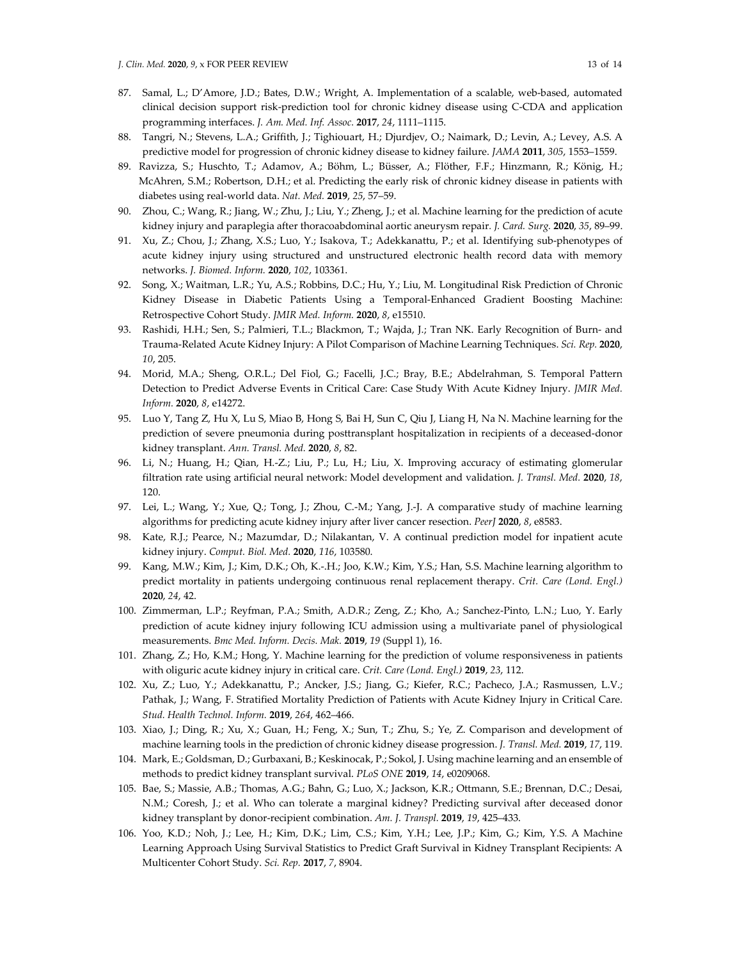- 87. Samal, L.; D'Amore, J.D.; Bates, D.W.; Wright, A. Implementation of a scalable, web-based, automated clinical decision support risk-prediction tool for chronic kidney disease using C-CDA and application programming interfaces. *J. Am. Med. Inf. Assoc.* **2017**, *24*, 1111–1115.
- 88. Tangri, N.; Stevens, L.A.; Griffith, J.; Tighiouart, H.; Djurdjev, O.; Naimark, D.; Levin, A.; Levey, A.S. A predictive model for progression of chronic kidney disease to kidney failure. *JAMA* **2011**, *305*, 1553–1559.
- 89. Ravizza, S.; Huschto, T.; Adamov, A.; Böhm, L.; Büsser, A.; Flöther, F.F.; Hinzmann, R.; König, H.; McAhren, S.M.; Robertson, D.H.; et al. Predicting the early risk of chronic kidney disease in patients with diabetes using real-world data. *Nat. Med.* **2019**, *25*, 57–59.
- 90. Zhou, C.; Wang, R.; Jiang, W.; Zhu, J.; Liu, Y.; Zheng, J.; et al. Machine learning for the prediction of acute kidney injury and paraplegia after thoracoabdominal aortic aneurysm repair*. J. Card. Surg.* **2020**, *35*, 89–99.
- 91. Xu, Z.; Chou, J.; Zhang, X.S.; Luo, Y.; Isakova, T.; Adekkanattu, P.; et al. Identifying sub-phenotypes of acute kidney injury using structured and unstructured electronic health record data with memory networks. *J. Biomed. Inform.* **2020**, *102*, 103361.
- 92. Song, X.; Waitman, L.R.; Yu, A.S.; Robbins, D.C.; Hu, Y.; Liu, M. Longitudinal Risk Prediction of Chronic Kidney Disease in Diabetic Patients Using a Temporal-Enhanced Gradient Boosting Machine: Retrospective Cohort Study. *JMIR Med. Inform.* **2020**, *8*, e15510.
- 93. Rashidi, H.H.; Sen, S.; Palmieri, T.L.; Blackmon, T.; Wajda, J.; Tran NK. Early Recognition of Burn- and Trauma-Related Acute Kidney Injury: A Pilot Comparison of Machine Learning Techniques. *Sci. Rep.* **2020**, *10*, 205.
- 94. Morid, M.A.; Sheng, O.R.L.; Del Fiol, G.; Facelli, J.C.; Bray, B.E.; Abdelrahman, S. Temporal Pattern Detection to Predict Adverse Events in Critical Care: Case Study With Acute Kidney Injury. *JMIR Med. Inform.* **2020**, *8*, e14272.
- 95. Luo Y, Tang Z, Hu X, Lu S, Miao B, Hong S, Bai H, Sun C, Qiu J, Liang H, Na N. Machine learning for the prediction of severe pneumonia during posttransplant hospitalization in recipients of a deceased-donor kidney transplant. *Ann. Transl. Med.* **2020**, *8*, 82.
- 96. Li, N.; Huang, H.; Qian, H.-Z.; Liu, P.; Lu, H.; Liu, X. Improving accuracy of estimating glomerular filtration rate using artificial neural network: Model development and validation. *J. Transl. Med.* **2020**, *18*, 120.
- 97. Lei, L.; Wang, Y.; Xue, Q.; Tong, J.; Zhou, C.-M.; Yang, J.-J. A comparative study of machine learning algorithms for predicting acute kidney injury after liver cancer resection. *PeerJ* **2020**, *8*, e8583.
- 98. Kate, R.J.; Pearce, N.; Mazumdar, D.; Nilakantan, V. A continual prediction model for inpatient acute kidney injury. *Comput. Biol. Med.* **2020**, *116*, 103580.
- 99. Kang, M.W.; Kim, J.; Kim, D.K.; Oh, K.-.H.; Joo, K.W.; Kim, Y.S.; Han, S.S. Machine learning algorithm to predict mortality in patients undergoing continuous renal replacement therapy. *Crit. Care (Lond. Engl.)*  **2020**, *24*, 42.
- 100. Zimmerman, L.P.; Reyfman, P.A.; Smith, A.D.R.; Zeng, Z.; Kho, A.; Sanchez-Pinto, L.N.; Luo, Y. Early prediction of acute kidney injury following ICU admission using a multivariate panel of physiological measurements. *Bmc Med. Inform. Decis. Mak.* **2019**, *19* (Suppl 1), 16.
- 101. Zhang, Z.; Ho, K.M.; Hong, Y. Machine learning for the prediction of volume responsiveness in patients with oliguric acute kidney injury in critical care. *Crit. Care (Lond. Engl.)* **2019**, *23*, 112.
- 102. Xu, Z.; Luo, Y.; Adekkanattu, P.; Ancker, J.S.; Jiang, G.; Kiefer, R.C.; Pacheco, J.A.; Rasmussen, L.V.; Pathak, J.; Wang, F. Stratified Mortality Prediction of Patients with Acute Kidney Injury in Critical Care. *Stud. Health Technol. Inform.* **2019**, *264*, 462–466.
- 103. Xiao, J.; Ding, R.; Xu, X.; Guan, H.; Feng, X.; Sun, T.; Zhu, S.; Ye, Z. Comparison and development of machine learning tools in the prediction of chronic kidney disease progression. *J. Transl. Med.* **2019**, *17*, 119.
- 104. Mark, E.; Goldsman, D.; Gurbaxani, B.; Keskinocak, P.; Sokol, J. Using machine learning and an ensemble of methods to predict kidney transplant survival. *PLoS ONE* **2019**, *14*, e0209068.
- 105. Bae, S.; Massie, A.B.; Thomas, A.G.; Bahn, G.; Luo, X.; Jackson, K.R.; Ottmann, S.E.; Brennan, D.C.; Desai, N.M.; Coresh, J.; et al. Who can tolerate a marginal kidney? Predicting survival after deceased donor kidney transplant by donor-recipient combination. *Am. J. Transpl.* **2019**, *19*, 425–433.
- 106. Yoo, K.D.; Noh, J.; Lee, H.; Kim, D.K.; Lim, C.S.; Kim, Y.H.; Lee, J.P.; Kim, G.; Kim, Y.S. A Machine Learning Approach Using Survival Statistics to Predict Graft Survival in Kidney Transplant Recipients: A Multicenter Cohort Study. *Sci. Rep.* **2017**, *7*, 8904.